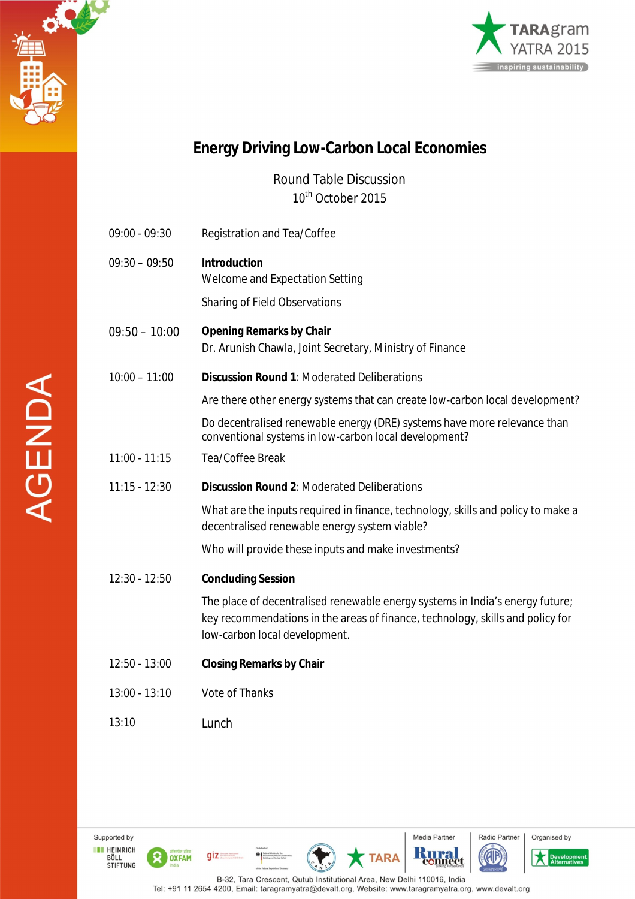



## **Energy Driving Low-Carbon Local Economies**

Round Table Discussion 10<sup>th</sup> October 2015

| $09:00 - 09:30$ | Registration and Tea/Coffee                                                                                                                                                                      |
|-----------------|--------------------------------------------------------------------------------------------------------------------------------------------------------------------------------------------------|
| $09:30 - 09:50$ | <b>Introduction</b><br>Welcome and Expectation Setting                                                                                                                                           |
|                 | Sharing of Field Observations                                                                                                                                                                    |
| $09:50 - 10:00$ | <b>Opening Remarks by Chair</b><br>Dr. Arunish Chawla, Joint Secretary, Ministry of Finance                                                                                                      |
| $10:00 - 11:00$ | <b>Discussion Round 1: Moderated Deliberations</b>                                                                                                                                               |
|                 | Are there other energy systems that can create low-carbon local development?                                                                                                                     |
|                 | Do decentralised renewable energy (DRE) systems have more relevance than<br>conventional systems in low-carbon local development?                                                                |
| $11:00 - 11:15$ | Tea/Coffee Break                                                                                                                                                                                 |
| $11:15 - 12:30$ | <b>Discussion Round 2: Moderated Deliberations</b>                                                                                                                                               |
|                 | What are the inputs required in finance, technology, skills and policy to make a<br>decentralised renewable energy system viable?                                                                |
|                 | Who will provide these inputs and make investments?                                                                                                                                              |
| $12:30 - 12:50$ | <b>Concluding Session</b>                                                                                                                                                                        |
|                 | The place of decentralised renewable energy systems in India's energy future;<br>key recommendations in the areas of finance, technology, skills and policy for<br>low-carbon local development. |
| $12:50 - 13:00$ | <b>Closing Remarks by Chair</b>                                                                                                                                                                  |
| $13:00 - 13:10$ | Vote of Thanks                                                                                                                                                                                   |
| 13:10           | Lunch                                                                                                                                                                                            |

Media Partner

**TARA** 

B-32, Tara Crescent, Qutub Institutional Area, New Delhi 110016, India<br>Tel: +91 11 2654 4200, Email: taragramyatra@devalt.org, Website: www.taragramyatra.org, www.devalt.org

**Rural** 

Radio Partner

**A** 

Organised by

Developi

Supported by

**EXECUTE HEINRICH<br>BÖLL<br>STIFTUNG** 

ିହ

OXFAM

 $giz$ 

D | Tederal Ministry for the